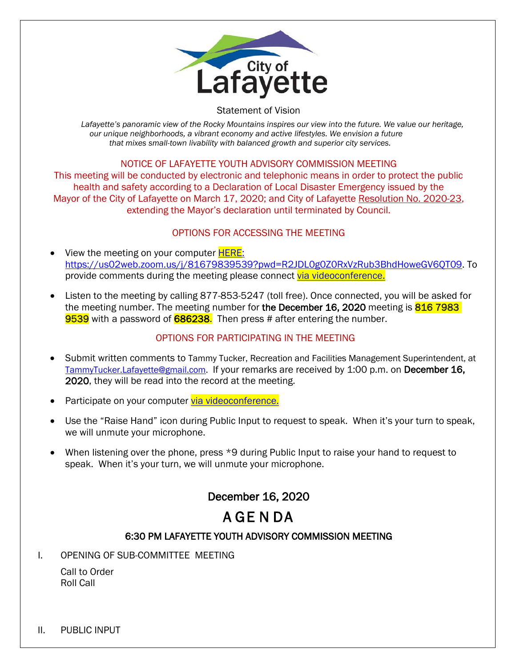

#### Statement of Vision

Lafayette's panoramic view of the Rocky Mountains inspires our view into the future. We value our heritage, *our unique neighborhoods, a vibrant economy and active lifestyles. We envision a future that mixes small-town livability with balanced growth and superior city services.*

## NOTICE OF LAFAYETTE YOUTH ADVISORY COMMISSION MEETING

This meeting will be conducted by electronic and telephonic means in order to protect the public health and safety according to a Declaration of Local Disaster Emergency issued by the Mayor of the City of Lafayette on March 17, 2020; and City of Lafayette Resolution No. 2020-23, extending the Mayor's declaration until terminated by Council.

## OPTIONS FOR ACCESSING THE MEETING

- View the meeting on your computer **HERE**: https://us02web.zoom.us/j/81679839539?pwd=R2JDL0g0Z0RxVzRub3BhdHoweGV6QT09. To provide comments during the meeting please connect [via videoconference.](https://us02web.zoom.us/j/81679839539?pwd=R2JDL0g0Z0RxVzRub3BhdHoweGV6QT09)
- Listen to the meeting by calling 877-853-5247 (toll free). Once connected, you will be asked for the meeting number. The meeting number for the December 16, 2020 meeting is 816 7983 9539 with a password of 686238. Then press # after entering the number.

## OPTIONS FOR PARTICIPATING IN THE MEETING

- Submit written comments to Tammy Tucker, Recreation and Facilities Management Superintendent, at [TammyTucker.Lafayette@gmail.com.](mailto:TammyTucker.Lafayette@gmail.com) If your remarks are received by 1:00 p.m. on December 16, 2020, they will be read into the record at the meeting.
- Participate on your computer [via videoconference.](https://us02web.zoom.us/j/81679839539?pwd=R2JDL0g0Z0RxVzRub3BhdHoweGV6QT09)
- Use the "Raise Hand" icon during Public Input to request to speak. When it's your turn to speak, we will unmute your microphone.
- When listening over the phone, press \*9 during Public Input to raise your hand to request to speak. When it's your turn, we will unmute your microphone.

## December 16, 2020

# A GE N DA

## 6:30 PM LAFAYETTE YOUTH ADVISORY COMMISSION MEETING

I. OPENING OF SUB-COMMITTEE MEETING

Call to Order Roll Call

II. PUBLIC INPUT